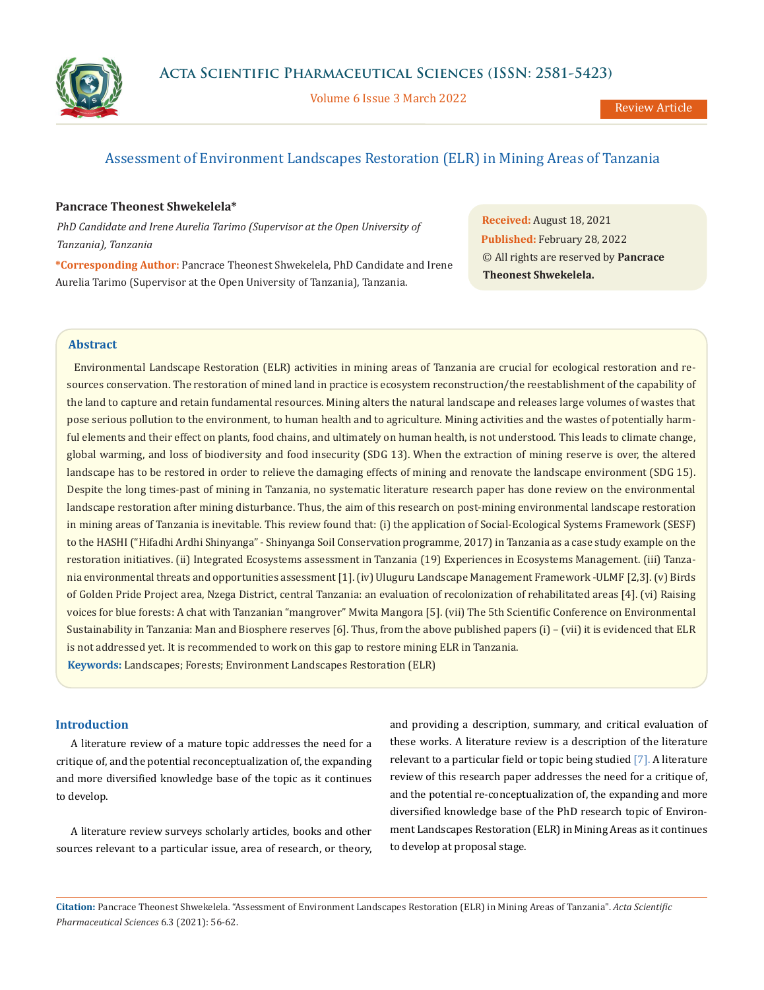

Volume 6 Issue 3 March 2022

# Assessment of Environment Landscapes Restoration (ELR) in Mining Areas of Tanzania

## **Pancrace Theonest Shwekelela\***

*PhD Candidate and Irene Aurelia Tarimo (Supervisor at the Open University of Tanzania), Tanzania*

**\*Corresponding Author:** Pancrace Theonest Shwekelela, PhD Candidate and Irene Aurelia Tarimo (Supervisor at the Open University of Tanzania), Tanzania.

**Received:** August 18, 2021 **Published:** February 28, 2022 © All rights are reserved by **Pancrace Theonest Shwekelela.**

## **Abstract**

 Environmental Landscape Restoration (ELR) activities in mining areas of Tanzania are crucial for ecological restoration and resources conservation. The restoration of mined land in practice is ecosystem reconstruction/the reestablishment of the capability of the land to capture and retain fundamental resources. Mining alters the natural landscape and releases large volumes of wastes that pose serious pollution to the environment, to human health and to agriculture. Mining activities and the wastes of potentially harmful elements and their effect on plants, food chains, and ultimately on human health, is not understood. This leads to climate change, global warming, and loss of biodiversity and food insecurity (SDG 13). When the extraction of mining reserve is over, the altered landscape has to be restored in order to relieve the damaging effects of mining and renovate the landscape environment (SDG 15). Despite the long times-past of mining in Tanzania, no systematic literature research paper has done review on the environmental landscape restoration after mining disturbance. Thus, the aim of this research on post-mining environmental landscape restoration in mining areas of Tanzania is inevitable. This review found that: (i) the application of Social-Ecological Systems Framework (SESF) to the HASHI ("Hifadhi Ardhi Shinyanga" - Shinyanga Soil Conservation programme, 2017) in Tanzania as a case study example on the restoration initiatives. (ii) Integrated Ecosystems assessment in Tanzania (19) Experiences in Ecosystems Management. (iii) Tanzania environmental threats and opportunities assessment [1]. (iv) Uluguru Landscape Management Framework -ULMF [2,3]. (v) Birds of Golden Pride Project area, Nzega District, central Tanzania: an evaluation of recolonization of rehabilitated areas [4]. (vi) Raising voices for blue forests: A chat with Tanzanian "mangrover" Mwita Mangora [5]. (vii) The 5th Scientific Conference on Environmental Sustainability in Tanzania: Man and Biosphere reserves [6]. Thus, from the above published papers (i) – (vii) it is evidenced that ELR is not addressed yet. It is recommended to work on this gap to restore mining ELR in Tanzania.

**Keywords:** Landscapes; Forests; Environment Landscapes Restoration (ELR)

## **Introduction**

A literature review of a mature topic addresses the need for a critique of, and the potential reconceptualization of, the expanding and more diversified knowledge base of the topic as it continues to develop.

A literature review surveys scholarly articles, books and other sources relevant to a particular issue, area of research, or theory, and providing a description, summary, and critical evaluation of these works. A literature review is a description of the literature relevant to a particular field or topic being studied [7]. A literature review of this research paper addresses the need for a critique of, and the potential re-conceptualization of, the expanding and more diversified knowledge base of the PhD research topic of Environment Landscapes Restoration (ELR) in Mining Areas as it continues to develop at proposal stage.

**Citation:** Pancrace Theonest Shwekelela*.* "Assessment of Environment Landscapes Restoration (ELR) in Mining Areas of Tanzania". *Acta Scientific Pharmaceutical Sciences* 6.3 (2021): 56-62.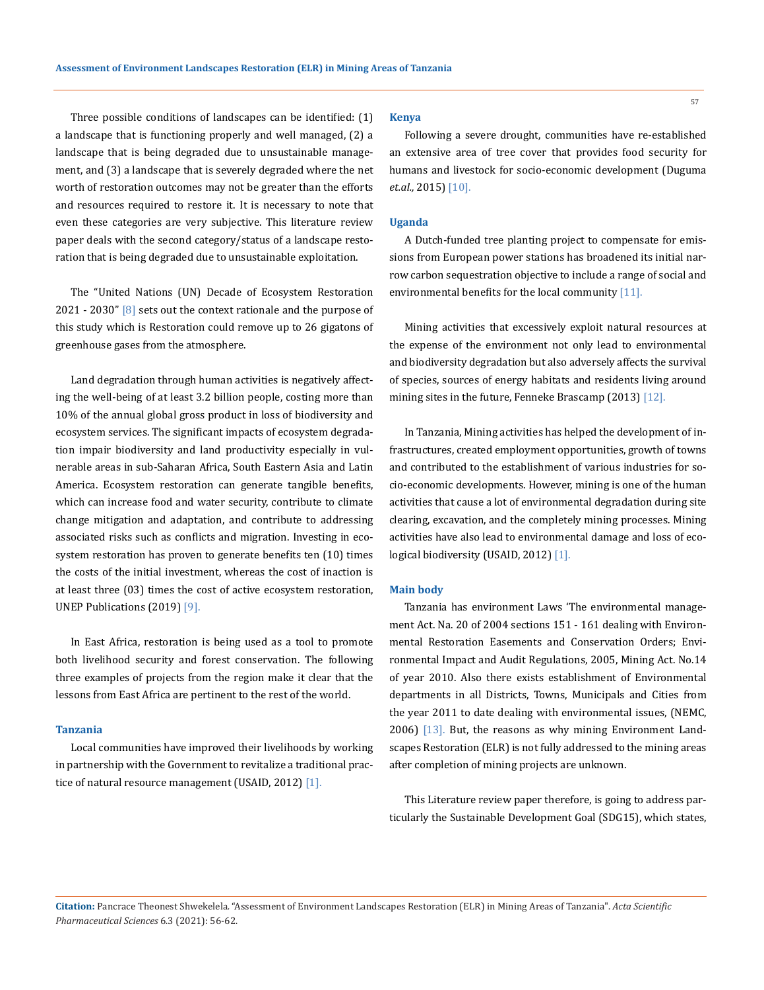Three possible conditions of landscapes can be identified: (1) a landscape that is functioning properly and well managed, (2) a landscape that is being degraded due to unsustainable management, and (3) a landscape that is severely degraded where the net worth of restoration outcomes may not be greater than the efforts and resources required to restore it. It is necessary to note that even these categories are very subjective. This literature review paper deals with the second category/status of a landscape restoration that is being degraded due to unsustainable exploitation.

The "United Nations (UN) Decade of Ecosystem Restoration 2021 - 2030"  $[8]$  sets out the context rationale and the purpose of this study which is Restoration could remove up to 26 gigatons of greenhouse gases from the atmosphere.

Land degradation through human activities is negatively affecting the well-being of at least 3.2 billion people, costing more than 10% of the annual global gross product in loss of biodiversity and ecosystem services. The significant impacts of ecosystem degradation impair biodiversity and land productivity especially in vulnerable areas in sub-Saharan Africa, South Eastern Asia and Latin America. Ecosystem restoration can generate tangible benefits, which can increase food and water security, contribute to climate change mitigation and adaptation, and contribute to addressing associated risks such as conflicts and migration. Investing in ecosystem restoration has proven to generate benefits ten (10) times the costs of the initial investment, whereas the cost of inaction is at least three (03) times the cost of active ecosystem restoration, UNEP Publications (2019) [9].

In East Africa, restoration is being used as a tool to promote both livelihood security and forest conservation. The following three examples of projects from the region make it clear that the lessons from East Africa are pertinent to the rest of the world.

#### **Tanzania**

Local communities have improved their livelihoods by working in partnership with the Government to revitalize a traditional practice of natural resource management (USAID, 2012) [1].

#### **Kenya**

Following a severe drought, communities have re-established an extensive area of tree cover that provides food security for humans and livestock for socio-economic development (Duguma *et.al.,* 2015) [10].

#### **Uganda**

A Dutch-funded tree planting project to compensate for emissions from European power stations has broadened its initial narrow carbon sequestration objective to include a range of social and environmental benefits for the local community [11].

Mining activities that excessively exploit natural resources at the expense of the environment not only lead to environmental and biodiversity degradation but also adversely affects the survival of species, sources of energy habitats and residents living around mining sites in the future, Fenneke Brascamp (2013) [12].

In Tanzania, Mining activities has helped the development of infrastructures, created employment opportunities, growth of towns and contributed to the establishment of various industries for socio-economic developments. However, mining is one of the human activities that cause a lot of environmental degradation during site clearing, excavation, and the completely mining processes. Mining activities have also lead to environmental damage and loss of ecological biodiversity (USAID, 2012) [1].

#### **Main body**

Tanzania has environment Laws 'The environmental management Act. Na. 20 of 2004 sections 151 - 161 dealing with Environmental Restoration Easements and Conservation Orders; Environmental Impact and Audit Regulations, 2005, Mining Act. No.14 of year 2010. Also there exists establishment of Environmental departments in all Districts, Towns, Municipals and Cities from the year 2011 to date dealing with environmental issues, (NEMC, 2006) [13]. But, the reasons as why mining Environment Landscapes Restoration (ELR) is not fully addressed to the mining areas after completion of mining projects are unknown.

This Literature review paper therefore, is going to address particularly the Sustainable Development Goal (SDG15), which states,

**Citation:** Pancrace Theonest Shwekelela*.* "Assessment of Environment Landscapes Restoration (ELR) in Mining Areas of Tanzania". *Acta Scientific Pharmaceutical Sciences* 6.3 (2021): 56-62.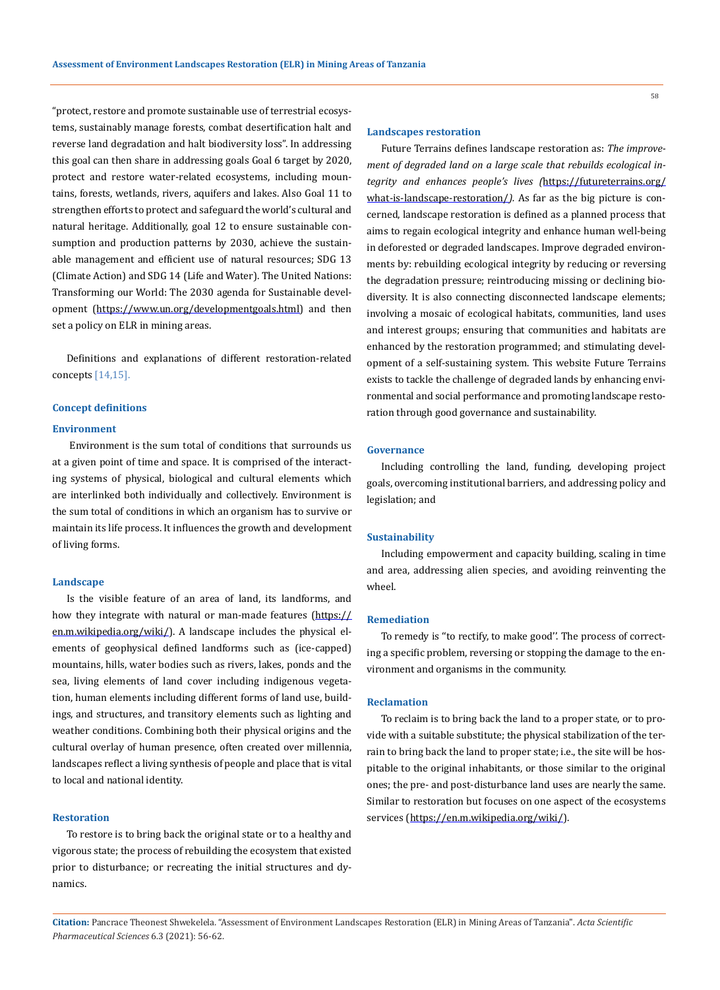"protect, restore and promote sustainable use of terrestrial ecosystems, sustainably manage forests, combat desertification halt and reverse land degradation and halt biodiversity loss". In addressing this goal can then share in addressing goals Goal 6 target by 2020, protect and restore water-related ecosystems, including mountains, forests, wetlands, rivers, aquifers and lakes. Also Goal 11 to strengthen efforts to protect and safeguard the world's cultural and natural heritage. Additionally, goal 12 to ensure sustainable consumption and production patterns by 2030, achieve the sustainable management and efficient use of natural resources; SDG 13 (Climate Action) and SDG 14 (Life and Water). The United Nations: Transforming our World: The 2030 agenda for Sustainable devel-opment [\(https://www.un.org/developmentgoals.html\)](https://www.un.org/developmentgoals.html) and then set a policy on ELR in mining areas.

Definitions and explanations of different restoration-related concepts [14,15].

#### **Concept definitions**

#### **Environment**

 Environment is the sum total of conditions that surrounds us at a given point of time and space. It is comprised of the interacting systems of physical, biological and cultural elements which are interlinked both individually and collectively. Environment is the sum total of conditions in which an organism has to survive or maintain its life process. It influences the growth and development of living forms.

#### **Landscape**

Is the visible feature of an area of [land,](https://en.m.wikipedia.org/wiki/Terrestrial_ecoregion) its [landforms](https://en.m.wikipedia.org/wiki/Landform), and how they integrate with natural or man-made features ([https://](https://en.m.wikipedia.org/wiki/) [en.m.wikipedia.org/wiki/](https://en.m.wikipedia.org/wiki/)). A landscape includes the physical elements of geophysical defined [landforms](https://en.m.wikipedia.org/wiki/Landform) such as (ice-capped) [mountains,](https://en.m.wikipedia.org/wiki/Mountains) [hills](https://en.m.wikipedia.org/wiki/Hills), [water bodies](https://en.m.wikipedia.org/wiki/Water_bodies) such as [rivers,](https://en.m.wikipedia.org/wiki/River) [lakes,](https://en.m.wikipedia.org/wiki/Lake) ponds and the [sea](https://en.m.wikipedia.org/wiki/Sea), living elements of [land cover](https://en.m.wikipedia.org/wiki/Land_cover) including indigenous [vegeta](https://en.m.wikipedia.org/wiki/Vegetation)[tion,](https://en.m.wikipedia.org/wiki/Vegetation) human elements including different forms of [land use,](https://en.m.wikipedia.org/wiki/Land_use) buildings, and [structures](https://en.m.wikipedia.org/wiki/Structure), and transitory elements such as [lighting](https://en.m.wikipedia.org/wiki/Lighting) and [weather](https://en.m.wikipedia.org/wiki/Weather) conditions. Combining both their physical origins and the [cultural](https://en.m.wikipedia.org/wiki/Culture) overlay of human presence, often created over millennia, landscapes reflect a living synthesis of people and place that is vital to local and [national identity.](https://en.m.wikipedia.org/wiki/National_identity)

#### **Restoration**

To restore is to bring back the original state or to a healthy and vigorous state; the process of rebuilding the ecosystem that existed prior to disturbance; or recreating the initial structures and dynamics.

## **Landscapes restoration**

Future Terrains defines landscape restoration as: *The improvement of degraded land on a large scale that rebuilds ecological integrity and enhances people's lives (*[https://futureterrains.org/](https://futureterrains.org/what-is-landscape-restoration/) [what-is-landscape-restoration/](https://futureterrains.org/what-is-landscape-restoration/)*).* As far as the big picture is concerned, landscape restoration is defined as a planned process that aims to regain ecological integrity and enhance human well-being in deforested or degraded landscapes. Improve degraded environments by: rebuilding ecological integrity by reducing or reversing the degradation pressure; reintroducing missing or declining biodiversity. It is also connecting disconnected landscape elements; involving a mosaic of ecological habitats, communities, land uses and interest groups; ensuring that communities and habitats are enhanced by the restoration programmed; and stimulating development of a self-sustaining system. This website Future Terrains exists to tackle the challenge of degraded lands by enhancing environmental and social performance and promoting landscape restoration through good governance and sustainability.

#### **Governance**

Including controlling the land, funding, developing project goals, overcoming institutional barriers, and addressing policy and legislation; and

## **Sustainability**

Including empowerment and capacity building, scaling in time and area, addressing alien species, and avoiding reinventing the wheel.

#### **Remediation**

To remedy is ''to rectify, to make good''. The process of correcting a specific problem, reversing or stopping the damage to the environment and organisms in the community.

### **Reclamation**

To reclaim is to bring back the land to a proper state, or to provide with a suitable substitute; the physical stabilization of the terrain to bring back the land to proper state; i.e., the site will be hospitable to the original inhabitants, or those similar to the original ones; the pre- and post-disturbance land uses are nearly the same. Similar to restoration but focuses on one aspect of the ecosystems services [\(https://en.m.wikipedia.org/wiki/](https://en.m.wikipedia.org/wiki/)).

**Citation:** Pancrace Theonest Shwekelela*.* "Assessment of Environment Landscapes Restoration (ELR) in Mining Areas of Tanzania". *Acta Scientific Pharmaceutical Sciences* 6.3 (2021): 56-62.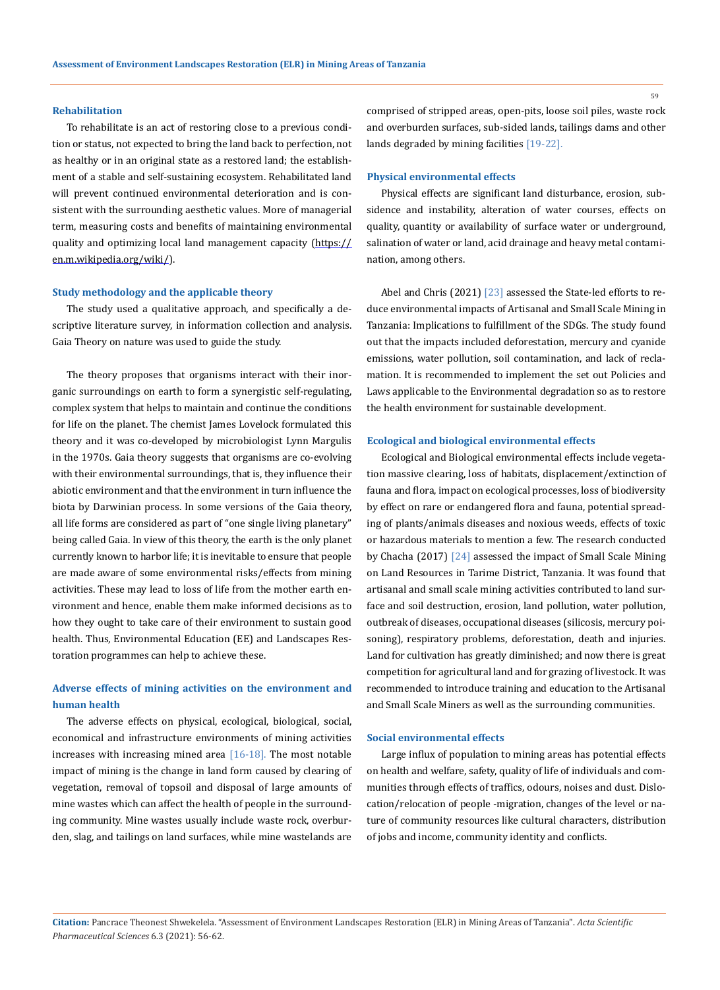#### **Rehabilitation**

To rehabilitate is an act of restoring close to a previous condition or status, not expected to bring the land back to perfection, not as healthy or in an original state as a restored land; the establishment of a stable and self-sustaining ecosystem. Rehabilitated land will prevent continued environmental deterioration and is consistent with the surrounding aesthetic values. More of managerial term, measuring costs and benefits of maintaining environmental quality and optimizing local land management capacity ([https://](https://en.m.wikipedia.org/wiki/) [en.m.wikipedia.org/wiki/](https://en.m.wikipedia.org/wiki/)).

#### **Study methodology and the applicable theory**

The study used a qualitative approach, and specifically a descriptive literature survey, in information collection and analysis. Gaia Theory on nature was used to guide the study.

The theory proposes that organisms interact with their inorganic surroundings on earth to form a synergistic self-regulating, complex system that helps to maintain and continue the conditions for life on the planet. The chemist James Lovelock formulated this theory and it was co-developed by microbiologist Lynn Margulis in the 1970s. Gaia theory suggests that organisms are co-evolving with their environmental surroundings, that is, they influence their abiotic environment and that the environment in turn influence the biota by Darwinian process. In some versions of the Gaia theory, all life forms are considered as part of "one single living planetary" being called Gaia. In view of this theory, the earth is the only planet currently known to harbor life; it is inevitable to ensure that people are made aware of some environmental risks/effects from mining activities. These may lead to loss of life from the mother earth environment and hence, enable them make informed decisions as to how they ought to take care of their environment to sustain good health. Thus, Environmental Education (EE) and Landscapes Restoration programmes can help to achieve these.

## **Adverse effects of mining activities on the environment and human health**

The adverse effects on physical, ecological, biological, social, economical and infrastructure environments of mining activities increases with increasing mined area  $[16-18]$ . The most notable impact of mining is the change in land form caused by clearing of vegetation, removal of topsoil and disposal of large amounts of mine wastes which can affect the health of people in the surrounding community. Mine wastes usually include waste rock, overburden, slag, and tailings on land surfaces, while mine wastelands are

comprised of stripped areas, open-pits, loose soil piles, waste rock and overburden surfaces, sub-sided lands, tailings dams and other lands degraded by mining facilities [19-22].

#### **Physical environmental effects**

Physical effects are significant land disturbance, erosion, subsidence and instability, alteration of water courses, effects on quality, quantity or availability of surface water or underground, salination of water or land, acid drainage and heavy metal contamination, among others.

Abel and Chris (2021) [23] assessed the State-led efforts to reduce environmental impacts of Artisanal and Small Scale Mining in Tanzania: Implications to fulfillment of the SDGs. The study found out that the impacts included deforestation, mercury and [cyanide](https://www.sciencedirect.com/topics/earth-and-planetary-sciences/cn-emission)  [emissions,](https://www.sciencedirect.com/topics/earth-and-planetary-sciences/cn-emission) water pollution, soil contamination, and lack of reclamation. It is recommended to implement the set out Policies and Laws applicable to the Environmental degradation so as to restore the health environment for sustainable development.

#### **Ecological and biological environmental effects**

Ecological and Biological environmental effects include vegetation massive clearing, loss of habitats, displacement/extinction of fauna and flora, impact on ecological processes, loss of biodiversity by effect on rare or endangered flora and fauna, potential spreading of plants/animals diseases and noxious weeds, effects of toxic or hazardous materials to mention a few. The research conducted by Chacha (2017) [24] assessed the impact of Small Scale Mining on Land Resources in Tarime District, Tanzania. It was found that artisanal and small scale mining activities contributed to land surface and soil destruction, erosion, land pollution, water pollution, outbreak of diseases, occupational diseases (silicosis, mercury poisoning), respiratory problems, deforestation, death and injuries. Land for cultivation has greatly diminished; and now there is great competition for agricultural land and for grazing of livestock. It was recommended to introduce training and education to the Artisanal and Small Scale Miners as well as the surrounding communities.

### **Social environmental effects**

Large influx of population to mining areas has potential effects on health and welfare, safety, quality of life of individuals and communities through effects of traffics, odours, noises and dust. Dislocation/relocation of people -migration, changes of the level or nature of community resources like cultural characters, distribution of jobs and income, community identity and conflicts.

**Citation:** Pancrace Theonest Shwekelela*.* "Assessment of Environment Landscapes Restoration (ELR) in Mining Areas of Tanzania". *Acta Scientific Pharmaceutical Sciences* 6.3 (2021): 56-62.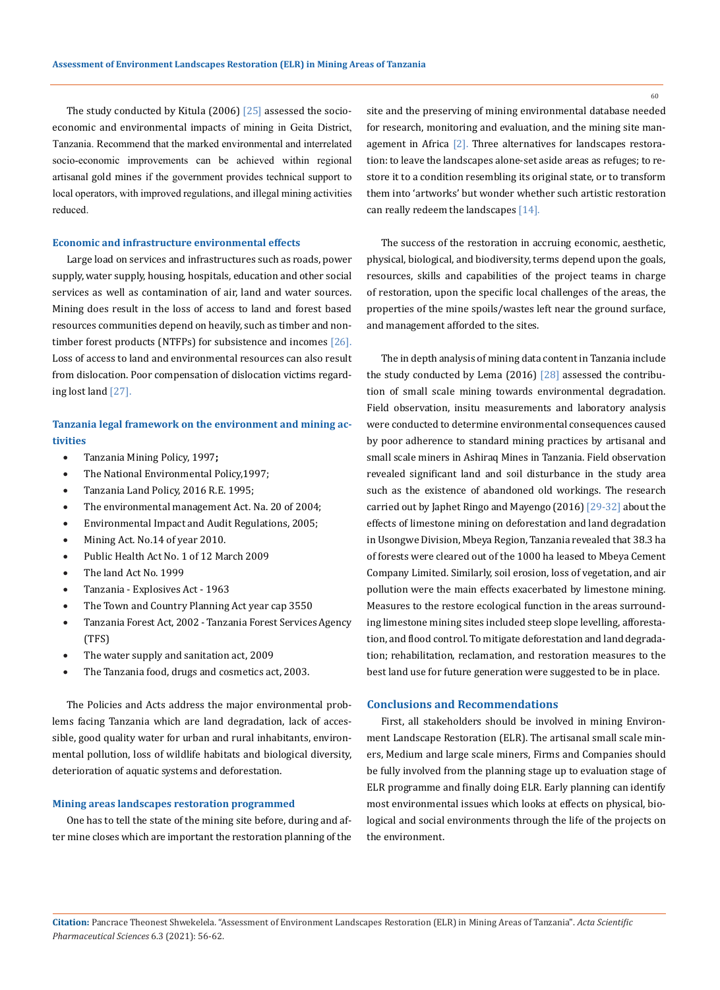The study conducted by Kitula (2006) [25] assessed the [socio](https://www.sciencedirect.com/topics/earth-and-planetary-sciences/socioeconomic-impact)[economic and environmental impacts](https://www.sciencedirect.com/topics/earth-and-planetary-sciences/socioeconomic-impact) of mining in Geita District, Tanzania. Recommend that the marked environmental and interrelated socio-economic improvements can be achieved within regional artisanal [gold mines](https://www.sciencedirect.com/topics/engineering/gold-mines) if the government provides technical support to local operators, with improved regulations, and illegal mining activities reduced.

#### **Economic and infrastructure environmental effects**

Large load on services and infrastructures such as roads, power supply, water supply, housing, hospitals, education and other social services as well as contamination of air, land and water sources. Mining does result in the loss of access to land and forest based resources communities depend on heavily, such as timber and nontimber forest products (NTFPs) for subsistence and incomes  $[26]$ . Loss of access to land and environmental resources can also result from dislocation. Poor compensation of dislocation victims regarding lost land [27].

## **Tanzania legal framework on the environment and mining activities**

- • Tanzania Mining Policy, 1997**;**
- The National Environmental Policy, 1997;
- Tanzania Land Policy, 2016 R.E. 1995;
- The environmental management Act. Na. 20 of 2004;
- Environmental Impact and Audit Regulations, 2005;
- Mining Act. No.14 of year 2010.
- Public Health Act No. 1 of 12 March 2009
- The land Act No. 1999
- Tanzania Explosives Act 1963
- The Town and Country Planning Act year cap 3550
- Tanzania Forest Act, 2002 Tanzania Forest Services Agency (TFS)
- The water supply and sanitation act, 2009
- The Tanzania food, drugs and cosmetics act, 2003.

The Policies and Acts address the major environmental problems facing Tanzania which are land degradation, lack of accessible, good quality water for urban and rural inhabitants, environmental pollution, loss of wildlife habitats and biological diversity, deterioration of aquatic systems and deforestation.

## **Mining areas landscapes restoration programmed**

One has to tell the state of the mining site before, during and after mine closes which are important the restoration planning of the site and the preserving of mining environmental database needed for research, monitoring and evaluation, and the mining site management in Africa [2]. Three alternatives for landscapes restoration: to leave the landscapes alone-set aside areas as refuges; to restore it to a condition resembling its original state, or to transform them into 'artworks' but wonder whether such artistic restoration can really redeem the landscapes [14].

The success of the restoration in accruing economic, aesthetic, physical, biological, and biodiversity, terms depend upon the goals, resources, skills and capabilities of the project teams in charge of restoration, upon the specific local challenges of the areas, the properties of the mine spoils/wastes left near the ground surface, and management afforded to the sites.

The in depth analysis of mining data content in Tanzania include the study conducted by Lema (2016) [28] assessed the contribution of small scale mining towards environmental degradation. Field observation, insitu measurements and laboratory analysis were conducted to determine environmental consequences caused by poor adherence to standard mining practices by artisanal and small scale miners in Ashiraq Mines in Tanzania. Field observation revealed significant land and soil disturbance in the study area such as the existence of abandoned old workings. The research carried out by Japhet Ringo and Mayengo (2016) [29-32] about the effects of limestone mining on deforestation and land degradation in Usongwe Division, Mbeya Region, Tanzania revealed that 38.3 ha of forests were cleared out of the 1000 ha leased to Mbeya Cement Company Limited. Similarly, soil erosion, loss of vegetation, and air pollution were the main effects exacerbated by limestone mining. Measures to the restore ecological function in the areas surrounding limestone mining sites included steep slope levelling, afforestation, and flood control. To mitigate deforestation and land degradation; rehabilitation, reclamation, and restoration measures to the best land use for future generation were suggested to be in place.

#### **Conclusions and Recommendations**

First, all stakeholders should be involved in mining Environment Landscape Restoration (ELR). The artisanal small scale miners, Medium and large scale miners, Firms and Companies should be fully involved from the planning stage up to evaluation stage of ELR programme and finally doing ELR. Early planning can identify most environmental issues which looks at effects on physical, biological and social environments through the life of the projects on the environment.

**Citation:** Pancrace Theonest Shwekelela*.* "Assessment of Environment Landscapes Restoration (ELR) in Mining Areas of Tanzania". *Acta Scientific Pharmaceutical Sciences* 6.3 (2021): 56-62.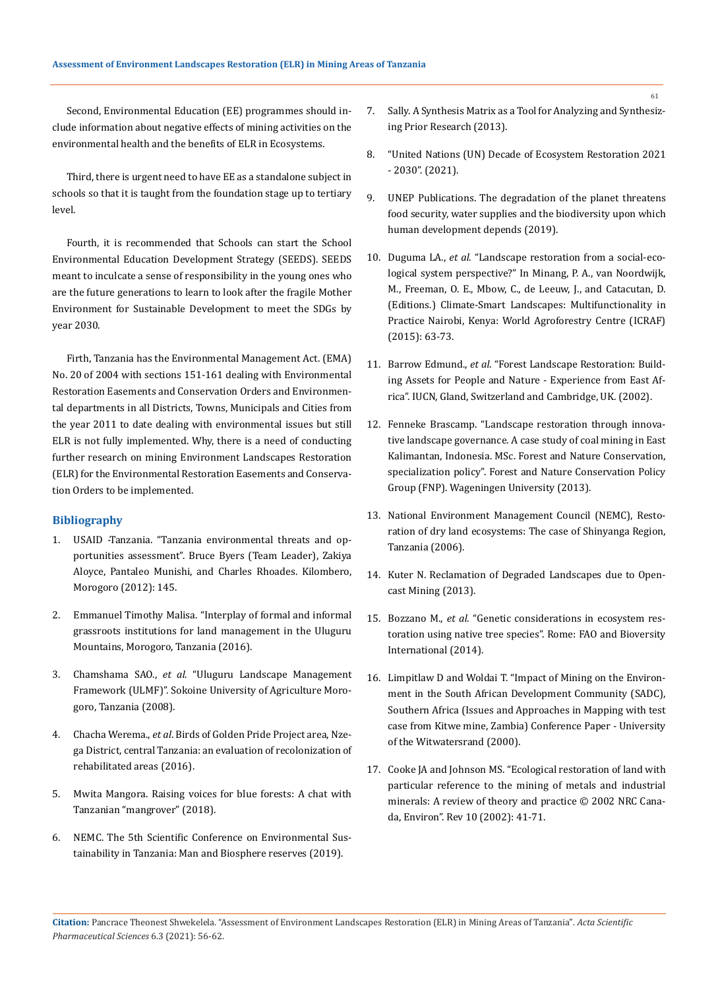Second, Environmental Education (EE) programmes should include information about negative effects of mining activities on the environmental health and the benefits of ELR in Ecosystems.

Third, there is urgent need to have EE as a standalone subject in schools so that it is taught from the foundation stage up to tertiary level.

Fourth, it is recommended that Schools can start the School Environmental Education Development Strategy (SEEDS). SEEDS meant to inculcate a sense of responsibility in the young ones who are the future generations to learn to look after the fragile Mother Environment for Sustainable Development to meet the SDGs by year 2030.

Firth, Tanzania has the Environmental Management Act. (EMA) No. 20 of 2004 with sections 151-161 dealing with Environmental Restoration Easements and Conservation Orders and Environmental departments in all Districts, Towns, Municipals and Cities from the year 2011 to date dealing with environmental issues but still ELR is not fully implemented. Why, there is a need of conducting further research on mining Environment Landscapes Restoration (ELR) for the Environmental Restoration Easements and Conservation Orders to be implemented.

## **Bibliography**

- 1. [USAID -Tanzania. "Tanzania environmental threats and op](http://www.brucebyersconsulting.com/wp-content/uploads/2013/01/Tanzania-Environmental-Threats-and-Opportunities-Assessment-2012.pdf)[portunities assessment". Bruce Byers \(Team Leader\), Zakiya](http://www.brucebyersconsulting.com/wp-content/uploads/2013/01/Tanzania-Environmental-Threats-and-Opportunities-Assessment-2012.pdf)  [Aloyce, Pantaleo Munishi, and Charles Rhoades. Kilombero,](http://www.brucebyersconsulting.com/wp-content/uploads/2013/01/Tanzania-Environmental-Threats-and-Opportunities-Assessment-2012.pdf)  [Morogoro \(2012\): 145.](http://www.brucebyersconsulting.com/wp-content/uploads/2013/01/Tanzania-Environmental-Threats-and-Opportunities-Assessment-2012.pdf)
- 2. [Emmanuel Timothy Malisa. "Interplay of formal and informal](https://www.semanticscholar.org/paper/Interplay-of-formal-and-informal-grassroots-for-in-Malisa/c95f7c7d1c134dd38ac761b35a45d2fad8ebb384)  [grassroots institutions for land management in the Uluguru](https://www.semanticscholar.org/paper/Interplay-of-formal-and-informal-grassroots-for-in-Malisa/c95f7c7d1c134dd38ac761b35a45d2fad8ebb384)  [Mountains, Morogoro, Tanzania \(2016\).](https://www.semanticscholar.org/paper/Interplay-of-formal-and-informal-grassroots-for-in-Malisa/c95f7c7d1c134dd38ac761b35a45d2fad8ebb384)
- 3. Chamshama SAO., *et al*. "Uluguru Landscape Management Framework (ULMF)". Sokoine University of Agriculture Morogoro, Tanzania (2008).
- 4. Chacha Werema., *et al*[. Birds of Golden Pride Project area, Nze](https://www.researchgate.net/publication/320858522_Birds_of_golden_pride_project_area_nzega_district_central_Tanzania_An_evaluation_of_recolonization_of_rehabilitated_areas)[ga District, central Tanzania: an evaluation of recolonization of](https://www.researchgate.net/publication/320858522_Birds_of_golden_pride_project_area_nzega_district_central_Tanzania_An_evaluation_of_recolonization_of_rehabilitated_areas)  [rehabilitated areas \(2016\).](https://www.researchgate.net/publication/320858522_Birds_of_golden_pride_project_area_nzega_district_central_Tanzania_An_evaluation_of_recolonization_of_rehabilitated_areas)
- 5. [Mwita Mangora. Raising voices for blue forests: A chat with](https://news.globallandscapesforum.org/29275/raising-voices-for-blue-forests-a-chat-with-tanzanian-mangrover-mwita-mangora/)  [Tanzanian "mangrover" \(2018\).](https://news.globallandscapesforum.org/29275/raising-voices-for-blue-forests-a-chat-with-tanzanian-mangrover-mwita-mangora/)
- 6. [NEMC. The 5th Scientific Conference on Environmental Sus](https://twitter.com/nemctanzania/status/1159074316329324544?lang=en)[tainability in Tanzania: Man and Biosphere reserves \(2019\).](https://twitter.com/nemctanzania/status/1159074316329324544?lang=en)
- 7. Sally. A Synthesis Matrix as a Tool for Analyzing and Synthesizing Prior Research (2013).
- 8. ["United Nations \(UN\) Decade of Ecosystem Restoration 2021](https://www.decadeonrestoration.org/)  [- 2030". \(2021\).](https://www.decadeonrestoration.org/)
- 9. UNEP Publications. The degradation of the planet threatens food security, water supplies and the biodiversity upon which human development depends (2019).
- 10. Duguma LA., *et al*[. "Landscape restoration from a social-eco](https://www.researchgate.net/publication/269405936_Landscape_restoration_from_a_social-_ecological_system_perspective)[logical system perspective?" In Minang, P. A., van Noordwijk,](https://www.researchgate.net/publication/269405936_Landscape_restoration_from_a_social-_ecological_system_perspective)  [M., Freeman, O. E., Mbow, C., de Leeuw, J., and Catacutan, D.](https://www.researchgate.net/publication/269405936_Landscape_restoration_from_a_social-_ecological_system_perspective)  [\(Editions.\) Climate-Smart Landscapes: Multifunctionality in](https://www.researchgate.net/publication/269405936_Landscape_restoration_from_a_social-_ecological_system_perspective)  [Practice Nairobi, Kenya: World Agroforestry Centre \(ICRAF\)](https://www.researchgate.net/publication/269405936_Landscape_restoration_from_a_social-_ecological_system_perspective)  [\(2015\): 63-73.](https://www.researchgate.net/publication/269405936_Landscape_restoration_from_a_social-_ecological_system_perspective)
- 11. Barrow Edmund., *et al*[. "Forest Landscape Restoration: Build](https://www.iucn.org/content/forest-landscape-restoration-building-assets-people-and-nature-experience-east-africa)[ing Assets for People and Nature - Experience from East Af](https://www.iucn.org/content/forest-landscape-restoration-building-assets-people-and-nature-experience-east-africa)[rica". IUCN, Gland, Switzerland and Cambridge, UK. \(2002\).](https://www.iucn.org/content/forest-landscape-restoration-building-assets-people-and-nature-experience-east-africa)
- 12. Fenneke Brascamp. "Landscape restoration through innovative landscape governance. A case study of coal mining in East Kalimantan, Indonesia. MSc. Forest and Nature Conservation, specialization policy". Forest and Nature Conservation Policy Group (FNP). Wageningen University (2013).
- 13. National Environment Management Council (NEMC), Restoration of dry land ecosystems: The case of Shinyanga Region, Tanzania (2006).
- 14. [Kuter N. Reclamation of Degraded Landscapes due to Open](https://www.intechopen.com/chapters/45415)[cast Mining \(2013\).](https://www.intechopen.com/chapters/45415)
- 15. Bozzano M., *et al*[. "Genetic considerations in ecosystem res](https://www.sciencedirect.com/science/article/pii/S0378112714004356)[toration using native tree species". Rome: FAO and Bioversity](https://www.sciencedirect.com/science/article/pii/S0378112714004356)  [International \(2014\).](https://www.sciencedirect.com/science/article/pii/S0378112714004356)
- 16. [Limpitlaw D and Woldai T. "Impact of Mining on the Environ](https://www.researchgate.net/publication/233792268_Impact_of_Mining_on_the_Environment_in_the_South_African_Development_Community_SADC_Southern_Africa_Issues_and_Approaches_in_Mapping_with_test_case_from_Kitwe_mine_Zambia)[ment in the South African Development Community \(SADC\),](https://www.researchgate.net/publication/233792268_Impact_of_Mining_on_the_Environment_in_the_South_African_Development_Community_SADC_Southern_Africa_Issues_and_Approaches_in_Mapping_with_test_case_from_Kitwe_mine_Zambia)  [Southern Africa \(Issues and Approaches in Mapping with test](https://www.researchgate.net/publication/233792268_Impact_of_Mining_on_the_Environment_in_the_South_African_Development_Community_SADC_Southern_Africa_Issues_and_Approaches_in_Mapping_with_test_case_from_Kitwe_mine_Zambia)  [case from Kitwe mine, Zambia\) Conference Paper - University](https://www.researchgate.net/publication/233792268_Impact_of_Mining_on_the_Environment_in_the_South_African_Development_Community_SADC_Southern_Africa_Issues_and_Approaches_in_Mapping_with_test_case_from_Kitwe_mine_Zambia)  [of the Witwatersrand \(2000\).](https://www.researchgate.net/publication/233792268_Impact_of_Mining_on_the_Environment_in_the_South_African_Development_Community_SADC_Southern_Africa_Issues_and_Approaches_in_Mapping_with_test_case_from_Kitwe_mine_Zambia)
- 17. [Cooke JA and Johnson MS. "Ecological restoration of land with](https://www.researchgate.net/publication/242397256_Ecological_restoration_of_land_with_particular_reference_to_the_mining_of_metals_and_industrial_minerals_A_review_of_theory_and_practice)  [particular reference to the mining of metals and industrial](https://www.researchgate.net/publication/242397256_Ecological_restoration_of_land_with_particular_reference_to_the_mining_of_metals_and_industrial_minerals_A_review_of_theory_and_practice)  [minerals: A review of theory and practice © 2002 NRC Cana](https://www.researchgate.net/publication/242397256_Ecological_restoration_of_land_with_particular_reference_to_the_mining_of_metals_and_industrial_minerals_A_review_of_theory_and_practice)[da, Environ". Rev 10 \(2002\): 41-71.](https://www.researchgate.net/publication/242397256_Ecological_restoration_of_land_with_particular_reference_to_the_mining_of_metals_and_industrial_minerals_A_review_of_theory_and_practice)

**Citation:** Pancrace Theonest Shwekelela*.* "Assessment of Environment Landscapes Restoration (ELR) in Mining Areas of Tanzania". *Acta Scientific Pharmaceutical Sciences* 6.3 (2021): 56-62.